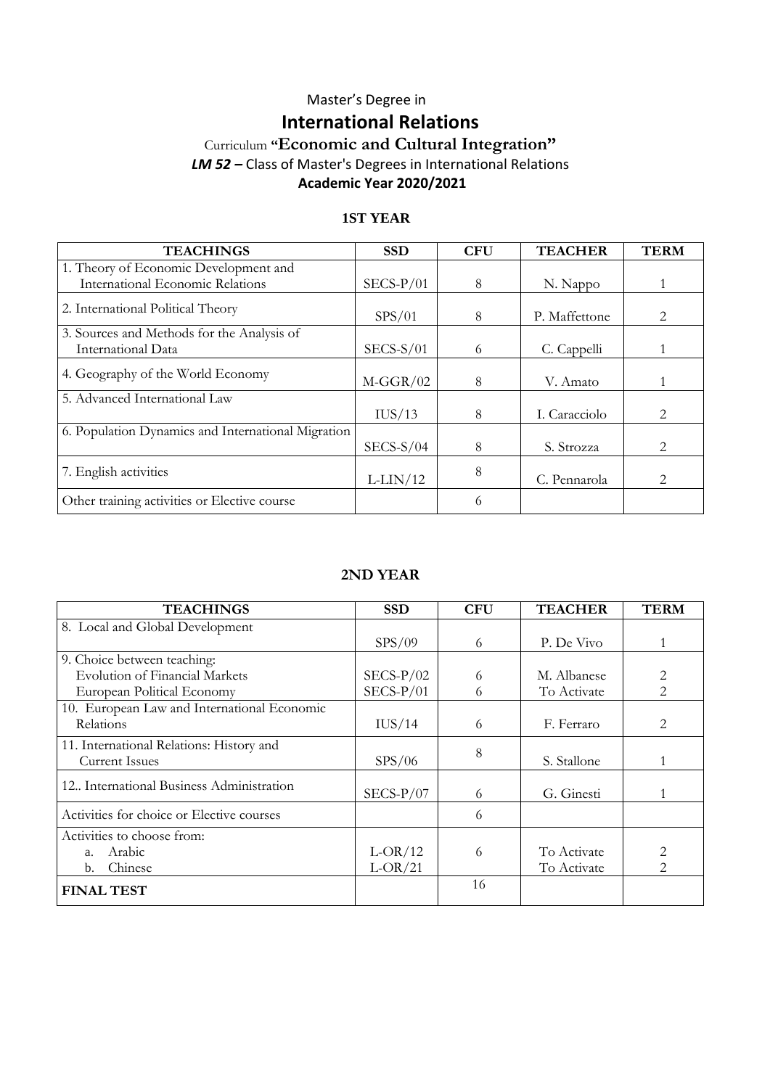# Master's Degree in **International Relations**

### Curriculum **"Economic and Cultural Integration"** *LM 52 –* Class of Master's Degrees in International Relations **Academic Year 2020/2021**

#### **1ST YEAR**

| <b>TEACHINGS</b>                                   | <b>SSD</b>  | <b>CFU</b> | <b>TEACHER</b> | <b>TERM</b>                 |
|----------------------------------------------------|-------------|------------|----------------|-----------------------------|
| 1. Theory of Economic Development and              |             |            |                |                             |
| <b>International Economic Relations</b>            | $SECS-P/01$ | 8          | N. Nappo       |                             |
| 2. International Political Theory                  | SPS/01      | 8          | P. Maffettone  | 2                           |
| 3. Sources and Methods for the Analysis of         |             |            |                |                             |
| International Data                                 | $SECS-S/01$ | 6          | C. Cappelli    |                             |
| 4. Geography of the World Economy                  | $M-GGR/02$  | 8          | V. Amato       |                             |
| 5. Advanced International Law                      |             |            |                |                             |
|                                                    | IUS/13      | 8          | I. Caracciolo  | 2                           |
| 6. Population Dynamics and International Migration |             |            |                |                             |
|                                                    | $SECS-S/04$ | 8          | S. Strozza     | 2                           |
| 7. English activities                              | $L-LIN/12$  | 8          | C. Pennarola   | $\mathcal{D}_{\mathcal{A}}$ |
| Other training activities or Elective course       |             | 6          |                |                             |

#### **2ND YEAR**

| <b>TEACHINGS</b>                            | <b>SSD</b>  | <b>CFU</b> | <b>TEACHER</b> | <b>TERM</b>    |
|---------------------------------------------|-------------|------------|----------------|----------------|
| 8. Local and Global Development             |             |            |                |                |
|                                             | SPS/09      | 6          | P. De Vivo     |                |
| 9. Choice between teaching:                 |             |            |                |                |
| <b>Evolution of Financial Markets</b>       | $SECS-P/02$ | 6          | M. Albanese    |                |
| European Political Economy                  | $SECS-P/01$ | 6          | To Activate    | $\mathfrak{D}$ |
| 10. European Law and International Economic |             |            |                |                |
| Relations                                   | IUS/14      | 6          | F. Ferraro     | 2              |
| 11. International Relations: History and    |             | 8          |                |                |
| <b>Current Issues</b>                       | SPS/06      |            | S. Stallone    |                |
| 12. International Business Administration   |             |            |                |                |
|                                             | $SECS-P/07$ | 6          | G. Ginesti     |                |
| Activities for choice or Elective courses   |             | 6          |                |                |
| Activities to choose from:                  |             |            |                |                |
| Arabic<br>a.                                | $L-OR/12$   | 6          | To Activate    | 2              |
| Chinese<br>$\mathbf{b}$ .                   | $L-OR/21$   |            | To Activate    | $\mathcal{P}$  |
| <b>FINAL TEST</b>                           |             | 16         |                |                |